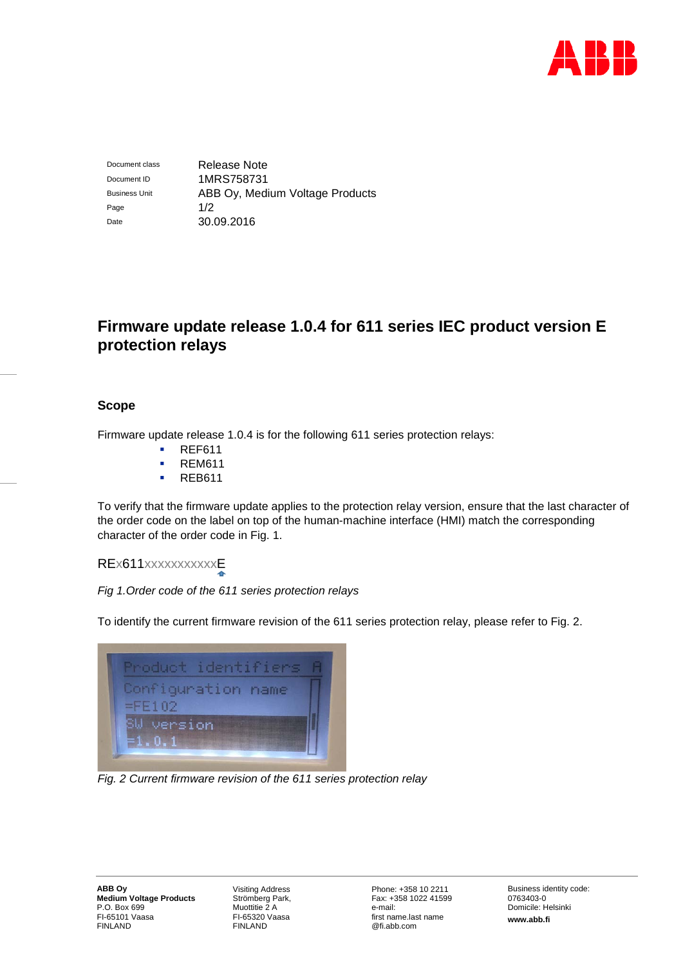

Document class Release Note Document ID 1MRS758731 Business Unit **ABB Oy, Medium Voltage Products** Page 1/2 Date 30.09.2016

# **Firmware update release 1.0.4 for 611 series IEC product version E protection relays**

## **Scope**

Firmware update release 1.0.4 is for the following 611 series protection relays:

- **REF611**
- REM611
- **REB611**

To verify that the firmware update applies to the protection relay version, ensure that the last character of the order code on the label on top of the human-machine interface (HMI) match the corresponding character of the order code in Fig. 1.

# REx611xxxxxxxxxxxE

*Fig 1.Order code of the 611 series protection relays*

To identify the current firmware revision of the 611 series protection relay, please refer to Fig. 2.



*Fig. 2 Current firmware revision of the 611 series protection relay*

Visiting Address Strömberg Park, Muottitie 2 A FI-65320 Vaasa FINLAND

Phone: +358 10 2211 Fax: +358 1022 41599 e-mail: first name.last name @fi.abb.com

Business identity code: 0763403-0 Domicile: Helsinki **www.abb.fi**